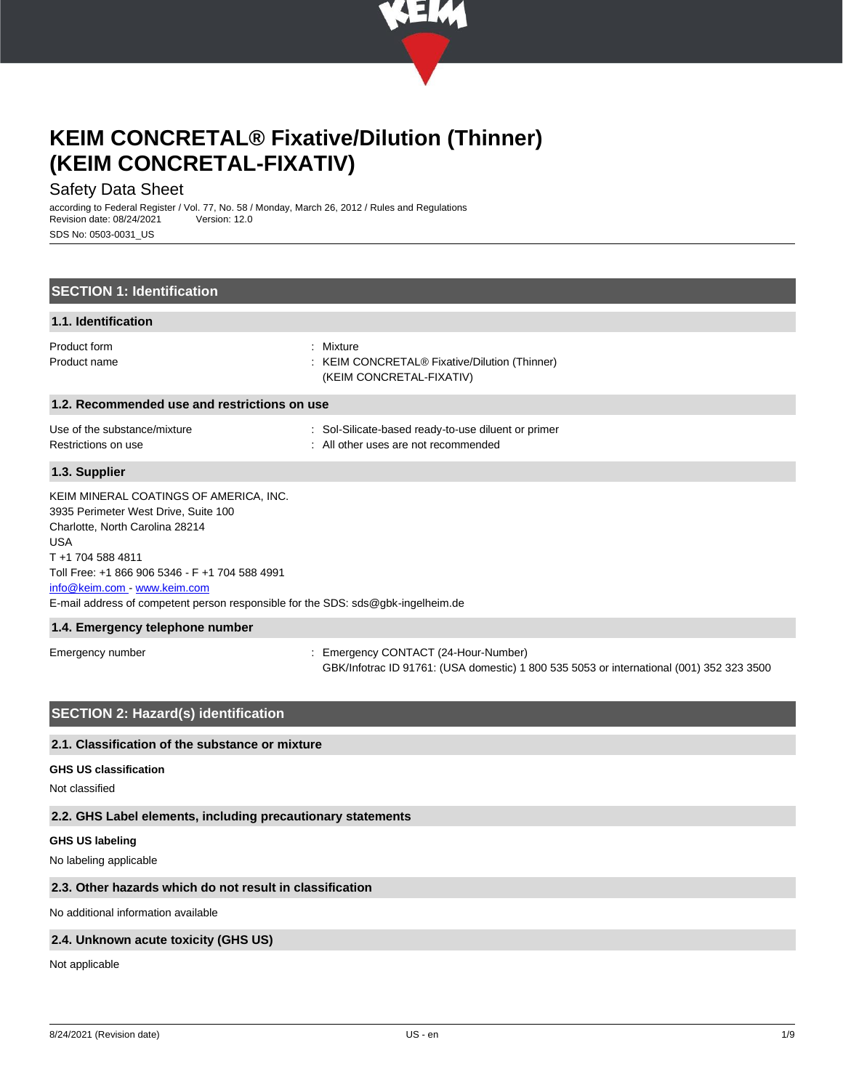

## Safety Data Sheet

according to Federal Register / Vol. 77, No. 58 / Monday, March 26, 2012 / Rules and Regulations Revision date: 08/24/2021 SDS No: 0503-0031\_US

| <b>SECTION 1: Identification</b>                                                                                                                                                                                                                                                                                          |                                                                                                                                |
|---------------------------------------------------------------------------------------------------------------------------------------------------------------------------------------------------------------------------------------------------------------------------------------------------------------------------|--------------------------------------------------------------------------------------------------------------------------------|
| 1.1. Identification                                                                                                                                                                                                                                                                                                       |                                                                                                                                |
| Product form<br>Product name                                                                                                                                                                                                                                                                                              | : Mixture<br><b>KEIM CONCRETAL® Fixative/Dilution (Thinner)</b><br>(KEIM CONCRETAL-FIXATIV)                                    |
| 1.2. Recommended use and restrictions on use                                                                                                                                                                                                                                                                              |                                                                                                                                |
| Use of the substance/mixture<br>Restrictions on use                                                                                                                                                                                                                                                                       | : Sol-Silicate-based ready-to-use diluent or primer<br>: All other uses are not recommended                                    |
| 1.3. Supplier                                                                                                                                                                                                                                                                                                             |                                                                                                                                |
| KEIM MINERAL COATINGS OF AMERICA, INC.<br>3935 Perimeter West Drive, Suite 100<br>Charlotte, North Carolina 28214<br><b>USA</b><br>T+1 704 588 4811<br>Toll Free: +1 866 906 5346 - F +1 704 588 4991<br>info@keim.com - www.keim.com<br>E-mail address of competent person responsible for the SDS: sds@gbk-ingelheim.de |                                                                                                                                |
| 1.4. Emergency telephone number                                                                                                                                                                                                                                                                                           |                                                                                                                                |
| Emergency number                                                                                                                                                                                                                                                                                                          | Emergency CONTACT (24-Hour-Number)<br>GBK/Infotrac ID 91761: (USA domestic) 1 800 535 5053 or international (001) 352 323 3500 |
| <b>SECTION 2: Hazard(s) identification</b>                                                                                                                                                                                                                                                                                |                                                                                                                                |

## **2.1. Classification of the substance or mixture**

#### **GHS US classification**

Not classified

### **2.2. GHS Label elements, including precautionary statements**

#### **GHS US labeling**

No labeling applicable

### **2.3. Other hazards which do not result in classification**

No additional information available

## **2.4. Unknown acute toxicity (GHS US)**

Not applicable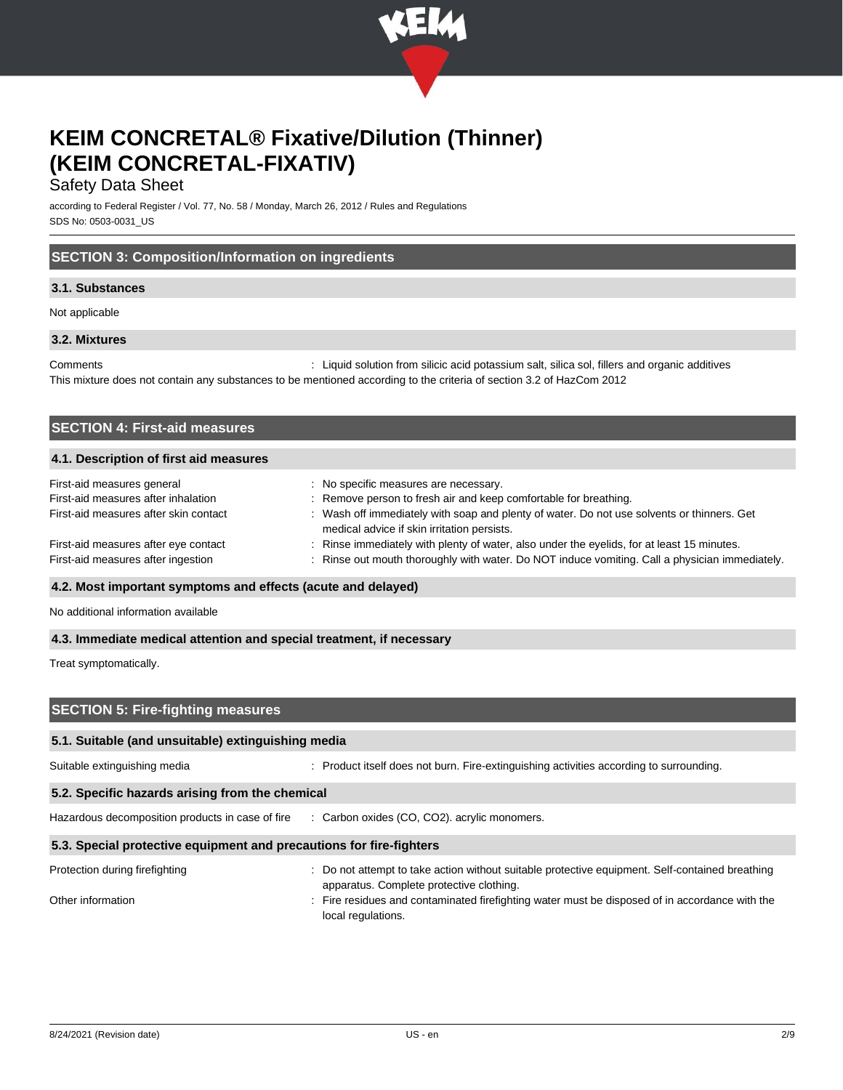

## Safety Data Sheet

according to Federal Register / Vol. 77, No. 58 / Monday, March 26, 2012 / Rules and Regulations SDS No: 0503-0031\_US

## **SECTION 3: Composition/Information on ingredients**

## **3.1. Substances**

Not applicable

### **3.2. Mixtures**

Comments : Liquid solution from silicic acid potassium salt, silica sol, fillers and organic additives This mixture does not contain any substances to be mentioned according to the criteria of section 3.2 of HazCom 2012

| <b>SECTION 4: First-aid measures</b>   |                                                                                                                                           |  |  |
|----------------------------------------|-------------------------------------------------------------------------------------------------------------------------------------------|--|--|
| 4.1. Description of first aid measures |                                                                                                                                           |  |  |
| First-aid measures general             | : No specific measures are necessary.                                                                                                     |  |  |
| First-aid measures after inhalation    | : Remove person to fresh air and keep comfortable for breathing.                                                                          |  |  |
| First-aid measures after skin contact  | : Wash off immediately with soap and plenty of water. Do not use solvents or thinners. Get<br>medical advice if skin irritation persists. |  |  |
| First-aid measures after eye contact   | : Rinse immediately with plenty of water, also under the eyelids, for at least 15 minutes.                                                |  |  |
| First-aid measures after ingestion     | Rinse out mouth thoroughly with water. Do NOT induce vomiting. Call a physician immediately.                                              |  |  |

### **4.2. Most important symptoms and effects (acute and delayed)**

No additional information available

#### **4.3. Immediate medical attention and special treatment, if necessary**

Treat symptomatically.

## **SECTION 5: Fire-fighting measures**

#### **5.1. Suitable (and unsuitable) extinguishing media**

Suitable extinguishing media : Product itself does not burn. Fire-extinguishing activities according to surrounding. **5.2. Specific hazards arising from the chemical** Hazardous decomposition products in case of fire : Carbon oxides (CO, CO2). acrylic monomers. **5.3. Special protective equipment and precautions for fire-fighters** Protection during firefighting **interval and the suitable action without** suitable protective equipment. Self-contained breathing apparatus. Complete protective clothing. Other information **interpretent in the residues** and contaminated firefighting water must be disposed of in accordance with the local regulations.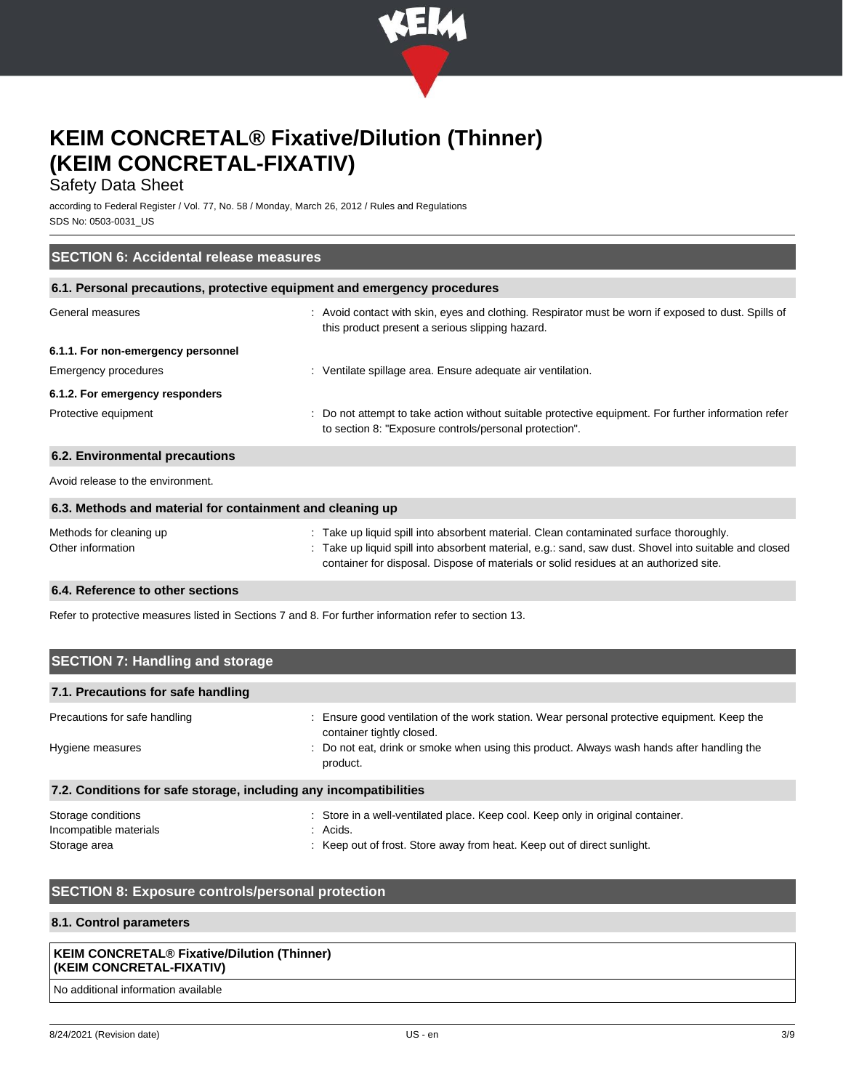

## Safety Data Sheet

according to Federal Register / Vol. 77, No. 58 / Monday, March 26, 2012 / Rules and Regulations SDS No: 0503-0031\_US

| <b>SECTION 6: Accidental release measures</b>                            |                                                                                                                                                                                                                                                                                        |  |  |
|--------------------------------------------------------------------------|----------------------------------------------------------------------------------------------------------------------------------------------------------------------------------------------------------------------------------------------------------------------------------------|--|--|
| 6.1. Personal precautions, protective equipment and emergency procedures |                                                                                                                                                                                                                                                                                        |  |  |
| General measures                                                         | : Avoid contact with skin, eyes and clothing. Respirator must be worn if exposed to dust. Spills of<br>this product present a serious slipping hazard.                                                                                                                                 |  |  |
| 6.1.1. For non-emergency personnel                                       |                                                                                                                                                                                                                                                                                        |  |  |
| Emergency procedures                                                     | : Ventilate spillage area. Ensure adequate air ventilation.                                                                                                                                                                                                                            |  |  |
| 6.1.2. For emergency responders                                          |                                                                                                                                                                                                                                                                                        |  |  |
| Protective equipment                                                     | : Do not attempt to take action without suitable protective equipment. For further information refer<br>to section 8: "Exposure controls/personal protection".                                                                                                                         |  |  |
| 6.2. Environmental precautions                                           |                                                                                                                                                                                                                                                                                        |  |  |
| Avoid release to the environment.                                        |                                                                                                                                                                                                                                                                                        |  |  |
| 6.3. Methods and material for containment and cleaning up                |                                                                                                                                                                                                                                                                                        |  |  |
| Methods for cleaning up<br>Other information                             | : Take up liquid spill into absorbent material. Clean contaminated surface thoroughly.<br>Take up liquid spill into absorbent material, e.g.: sand, saw dust. Shovel into suitable and closed<br>container for disposal. Dispose of materials or solid residues at an authorized site. |  |  |

## **6.4. Reference to other sections**

Refer to protective measures listed in Sections 7 and 8. For further information refer to section 13.

| <b>SECTION 7: Handling and storage</b>                            |                                                                                                                                                                        |  |  |
|-------------------------------------------------------------------|------------------------------------------------------------------------------------------------------------------------------------------------------------------------|--|--|
| 7.1. Precautions for safe handling                                |                                                                                                                                                                        |  |  |
| Precautions for safe handling                                     | Ensure good ventilation of the work station. Wear personal protective equipment. Keep the<br>container tightly closed.                                                 |  |  |
| Hygiene measures                                                  | : Do not eat, drink or smoke when using this product. Always wash hands after handling the<br>product.                                                                 |  |  |
| 7.2. Conditions for safe storage, including any incompatibilities |                                                                                                                                                                        |  |  |
| Storage conditions<br>Incompatible materials<br>Storage area      | : Store in a well-ventilated place. Keep cool. Keep only in original container.<br>: Acids.<br>: Keep out of frost. Store away from heat. Keep out of direct sunlight. |  |  |

## **SECTION 8: Exposure controls/personal protection**

## **8.1. Control parameters**

## **KEIM CONCRETAL® Fixative/Dilution (Thinner) (KEIM CONCRETAL-FIXATIV)**

No additional information available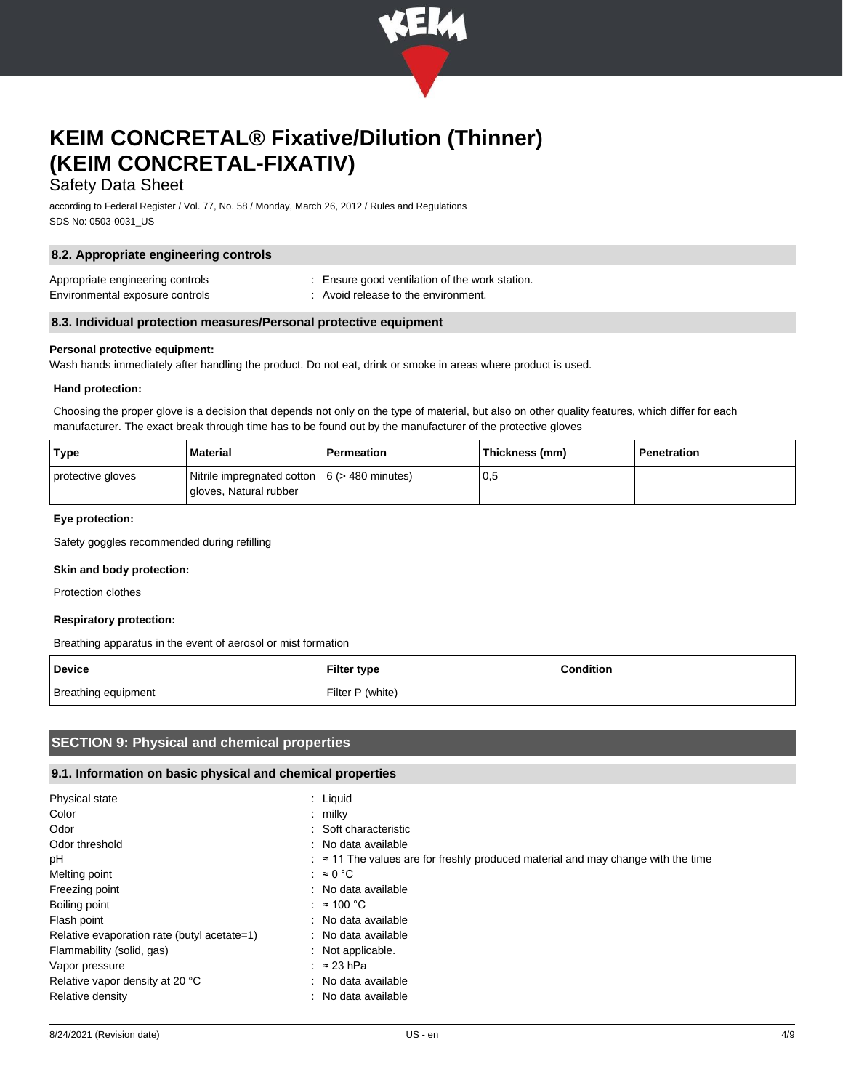

## Safety Data Sheet

according to Federal Register / Vol. 77, No. 58 / Monday, March 26, 2012 / Rules and Regulations SDS No: 0503-0031\_US

| 8.2. Appropriate engineering controls                               |                                                                                     |  |
|---------------------------------------------------------------------|-------------------------------------------------------------------------------------|--|
| Appropriate engineering controls<br>Environmental exposure controls | Ensure good ventilation of the work station.<br>: Avoid release to the environment. |  |
| 8.3. Individual protection measures/Personal protective equipment   |                                                                                     |  |

## **Personal protective equipment:**

Wash hands immediately after handling the product. Do not eat, drink or smoke in areas where product is used.

#### **Hand protection:**

Choosing the proper glove is a decision that depends not only on the type of material, but also on other quality features, which differ for each manufacturer. The exact break through time has to be found out by the manufacturer of the protective gloves

| Type              | <b>Material</b>                                                           | Permeation | Thickness (mm) | Penetration |
|-------------------|---------------------------------------------------------------------------|------------|----------------|-------------|
| protective gloves | Nitrile impregnated cotton $ 6$ (> 480 minutes)<br>gloves, Natural rubber |            | 0,5            |             |

#### **Eye protection:**

Safety goggles recommended during refilling

#### **Skin and body protection:**

Protection clothes

### **Respiratory protection:**

Breathing apparatus in the event of aerosol or mist formation

| <b>Device</b>       | <b>Filter type</b> | Condition |
|---------------------|--------------------|-----------|
| Breathing equipment | Filter P (white)   |           |

## **SECTION 9: Physical and chemical properties**

### **9.1. Information on basic physical and chemical properties**

| Physical state                              | : Liquid                                                                                            |
|---------------------------------------------|-----------------------------------------------------------------------------------------------------|
| Color                                       | $:$ milky                                                                                           |
| Odor                                        | : Soft characteristic                                                                               |
| Odor threshold                              | : No data available                                                                                 |
| рH                                          | $\therefore$ $\approx$ 11 The values are for freshly produced material and may change with the time |
| Melting point                               | : $\approx 0$ °C                                                                                    |
| Freezing point                              | : No data available                                                                                 |
| Boiling point                               | : $\approx 100 \degree C$                                                                           |
| Flash point                                 | : No data available                                                                                 |
| Relative evaporation rate (butyl acetate=1) | : No data available                                                                                 |
| Flammability (solid, gas)                   | $\therefore$ Not applicable.                                                                        |
| Vapor pressure                              | $\therefore$ ≈ 23 hPa                                                                               |
| Relative vapor density at 20 °C             | : No data available                                                                                 |
| Relative density                            | : No data available                                                                                 |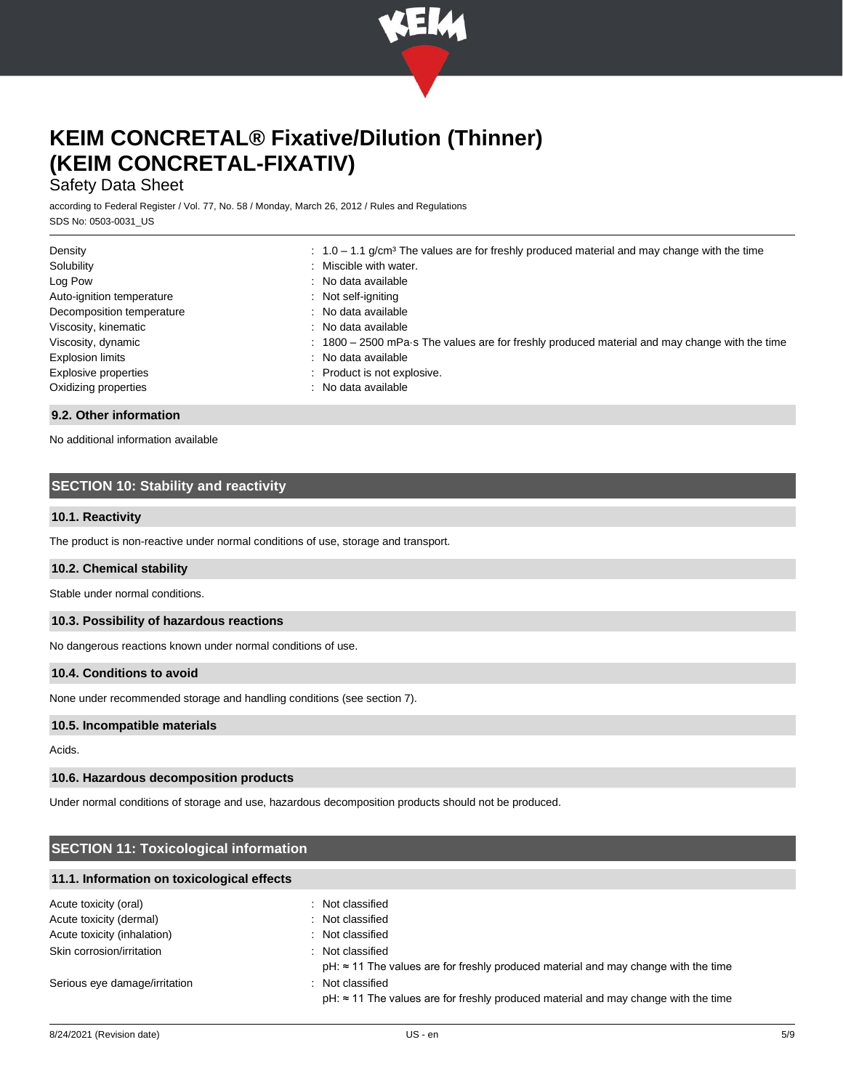

## Safety Data Sheet

according to Federal Register / Vol. 77, No. 58 / Monday, March 26, 2012 / Rules and Regulations SDS No: 0503-0031\_US

| Density                   | $\therefore$ 1.0 – 1.1 g/cm <sup>3</sup> The values are for freshly produced material and may change with the time |
|---------------------------|--------------------------------------------------------------------------------------------------------------------|
| Solubility                | : Miscible with water.                                                                                             |
| Log Pow                   | : No data available                                                                                                |
| Auto-ignition temperature | : Not self-igniting                                                                                                |
| Decomposition temperature | : No data available                                                                                                |
| Viscosity, kinematic      | : No data available                                                                                                |
| Viscosity, dynamic        | : 1800 - 2500 mPa s The values are for freshly produced material and may change with the time                      |
| <b>Explosion limits</b>   | : No data available                                                                                                |
| Explosive properties      | : Product is not explosive.                                                                                        |
| Oxidizing properties      | : No data available                                                                                                |

#### **9.2. Other information**

No additional information available

## **SECTION 10: Stability and reactivity**

### **10.1. Reactivity**

The product is non-reactive under normal conditions of use, storage and transport.

### **10.2. Chemical stability**

Stable under normal conditions.

#### **10.3. Possibility of hazardous reactions**

No dangerous reactions known under normal conditions of use.

### **10.4. Conditions to avoid**

None under recommended storage and handling conditions (see section 7).

#### **10.5. Incompatible materials**

Acids.

#### **10.6. Hazardous decomposition products**

Under normal conditions of storage and use, hazardous decomposition products should not be produced.

## **SECTION 11: Toxicological information**

#### **11.1. Information on toxicological effects**

| Acute toxicity (oral)         | : Not classified                                                                                               |
|-------------------------------|----------------------------------------------------------------------------------------------------------------|
| Acute toxicity (dermal)       | : Not classified                                                                                               |
| Acute toxicity (inhalation)   | : Not classified                                                                                               |
| Skin corrosion/irritation     | : Not classified<br>$pH: \approx 11$ The values are for freshly produced material and may change with the time |
| Serious eye damage/irritation | : Not classified<br>$pH: \approx 11$ The values are for freshly produced material and may change with the time |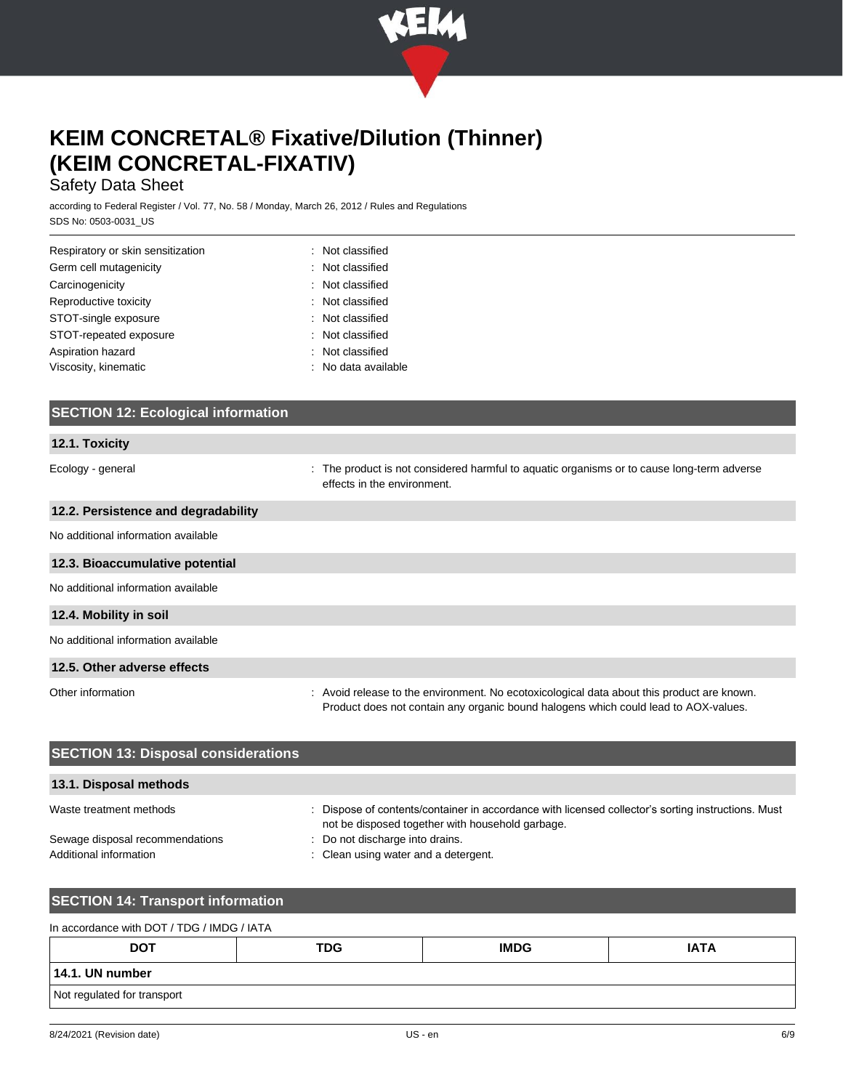

## Safety Data Sheet

according to Federal Register / Vol. 77, No. 58 / Monday, March 26, 2012 / Rules and Regulations SDS No: 0503-0031\_US

| Respiratory or skin sensitization | : Not classified    |
|-----------------------------------|---------------------|
| Germ cell mutagenicity            | : Not classified    |
| Carcinogenicity                   | : Not classified    |
| Reproductive toxicity             | : Not classified    |
| STOT-single exposure              | : Not classified    |
| STOT-repeated exposure            | : Not classified    |
| Aspiration hazard                 | : Not classified    |
| Viscosity, kinematic              | : No data available |

| <b>SECTION 12: Ecological information</b> |                                                                                                                              |
|-------------------------------------------|------------------------------------------------------------------------------------------------------------------------------|
|                                           |                                                                                                                              |
| 12.1. Toxicity                            |                                                                                                                              |
| Ecology - general                         | The product is not considered harmful to aquatic organisms or to cause long-term adverse<br>÷<br>effects in the environment. |
| 12.2. Persistence and degradability       |                                                                                                                              |
| No additional information available       |                                                                                                                              |
| 12.3. Bioaccumulative potential           |                                                                                                                              |
| No additional information available       |                                                                                                                              |
| 12.4. Mobility in soil                    |                                                                                                                              |
| No additional information available       |                                                                                                                              |
| 12.5. Other adverse effects               |                                                                                                                              |

Other information **interval of the environment.** No ecotoxicological data about this product are known. Product does not contain any organic bound halogens which could lead to AOX-values.

| <b>SECTION 13: Disposal considerations</b>                |                                                                                                                                                        |  |  |  |
|-----------------------------------------------------------|--------------------------------------------------------------------------------------------------------------------------------------------------------|--|--|--|
| 13.1. Disposal methods                                    |                                                                                                                                                        |  |  |  |
| Waste treatment methods                                   | : Dispose of contents/container in accordance with licensed collector's sorting instructions. Must<br>not be disposed together with household garbage. |  |  |  |
| Sewage disposal recommendations<br>Additional information | : Do not discharge into drains.<br>: Clean using water and a detergent.                                                                                |  |  |  |

## **SECTION 14: Transport information**

| In accordance with DOT / TDG / IMDG / IATA |            |             |             |  |
|--------------------------------------------|------------|-------------|-------------|--|
| <b>DOT</b>                                 | <b>TDG</b> | <b>IMDG</b> | <b>IATA</b> |  |
| 14.1. UN number                            |            |             |             |  |
| Not regulated for transport                |            |             |             |  |
|                                            |            |             |             |  |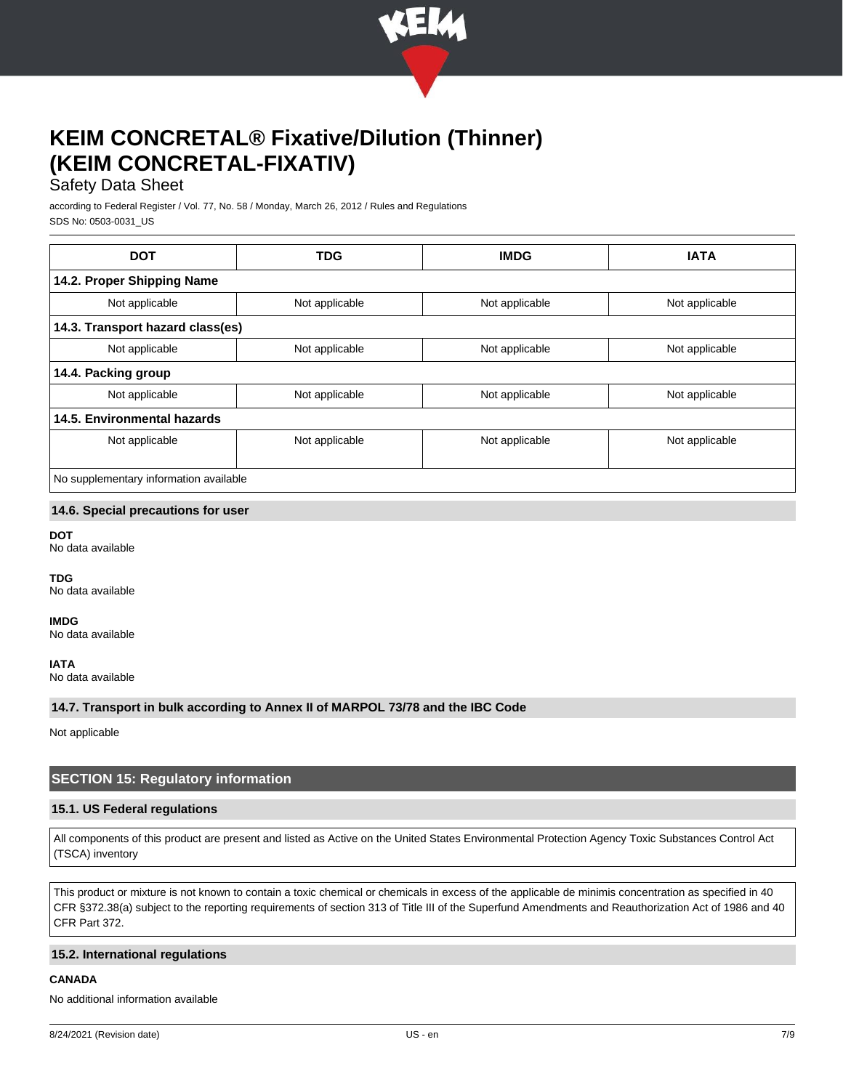

## Safety Data Sheet

according to Federal Register / Vol. 77, No. 58 / Monday, March 26, 2012 / Rules and Regulations SDS No: 0503-0031\_US

| <b>DOT</b>                             | <b>TDG</b>     | <b>IMDG</b>    | <b>IATA</b>    |
|----------------------------------------|----------------|----------------|----------------|
| 14.2. Proper Shipping Name             |                |                |                |
| Not applicable                         | Not applicable | Not applicable | Not applicable |
| 14.3. Transport hazard class(es)       |                |                |                |
| Not applicable                         | Not applicable | Not applicable | Not applicable |
| 14.4. Packing group                    |                |                |                |
| Not applicable                         | Not applicable | Not applicable | Not applicable |
| 14.5. Environmental hazards            |                |                |                |
| Not applicable                         | Not applicable | Not applicable | Not applicable |
|                                        |                |                |                |
| No supplementary information available |                |                |                |

### **14.6. Special precautions for user**

**DOT**

No data available

**TDG**

No data available

**IMDG**

No data available

**IATA**

No data available

**14.7. Transport in bulk according to Annex II of MARPOL 73/78 and the IBC Code**

Not applicable

## **SECTION 15: Regulatory information**

### **15.1. US Federal regulations**

All components of this product are present and listed as Active on the United States Environmental Protection Agency Toxic Substances Control Act (TSCA) inventory

This product or mixture is not known to contain a toxic chemical or chemicals in excess of the applicable de minimis concentration as specified in 40 CFR §372.38(a) subject to the reporting requirements of section 313 of Title III of the Superfund Amendments and Reauthorization Act of 1986 and 40 CFR Part 372.

#### **15.2. International regulations**

**CANADA**

No additional information available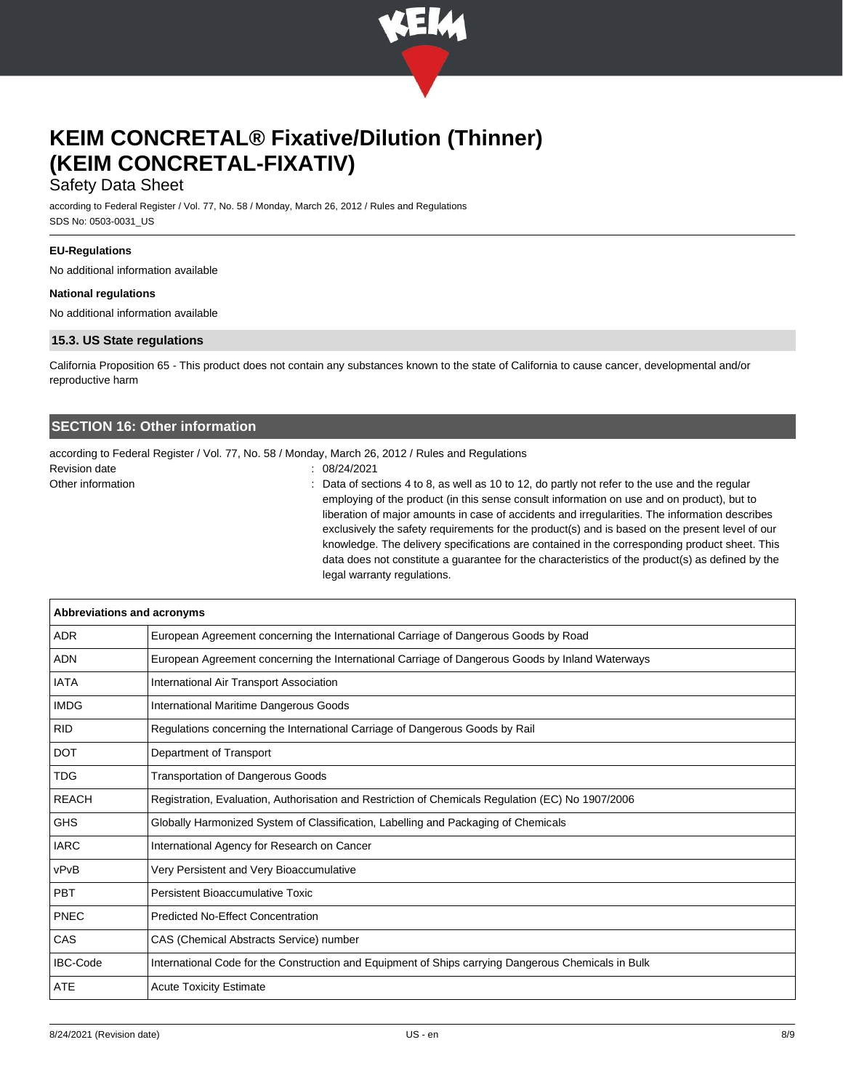

## Safety Data Sheet

according to Federal Register / Vol. 77, No. 58 / Monday, March 26, 2012 / Rules and Regulations SDS No: 0503-0031\_US

### **EU-Regulations**

No additional information available

#### **National regulations**

No additional information available

### **15.3. US State regulations**

California Proposition 65 - This product does not contain any substances known to the state of California to cause cancer, developmental and/or reproductive harm

## **SECTION 16: Other information**

according to Federal Register / Vol. 77, No. 58 / Monday, March 26, 2012 / Rules and Regulations

Revision date : 08/24/2021

Other information **interval of the sections**  $\sim$  20 beta of sections 4 to 8, as well as 10 to 12, do partly not refer to the use and the regular employing of the product (in this sense consult information on use and on product), but to liberation of major amounts in case of accidents and irregularities. The information describes exclusively the safety requirements for the product(s) and is based on the present level of our knowledge. The delivery specifications are contained in the corresponding product sheet. This data does not constitute a guarantee for the characteristics of the product(s) as defined by the legal warranty regulations.

| Abbreviations and acronyms |                                                                                                     |
|----------------------------|-----------------------------------------------------------------------------------------------------|
| <b>ADR</b>                 | European Agreement concerning the International Carriage of Dangerous Goods by Road                 |
| <b>ADN</b>                 | European Agreement concerning the International Carriage of Dangerous Goods by Inland Waterways     |
| <b>IATA</b>                | International Air Transport Association                                                             |
| <b>IMDG</b>                | International Maritime Dangerous Goods                                                              |
| <b>RID</b>                 | Regulations concerning the International Carriage of Dangerous Goods by Rail                        |
| <b>DOT</b>                 | Department of Transport                                                                             |
| <b>TDG</b>                 | <b>Transportation of Dangerous Goods</b>                                                            |
| <b>REACH</b>               | Registration, Evaluation, Authorisation and Restriction of Chemicals Regulation (EC) No 1907/2006   |
| <b>GHS</b>                 | Globally Harmonized System of Classification, Labelling and Packaging of Chemicals                  |
| <b>IARC</b>                | International Agency for Research on Cancer                                                         |
| vPvB                       | Very Persistent and Very Bioaccumulative                                                            |
| <b>PBT</b>                 | <b>Persistent Bioaccumulative Toxic</b>                                                             |
| <b>PNEC</b>                | <b>Predicted No-Effect Concentration</b>                                                            |
| CAS                        | CAS (Chemical Abstracts Service) number                                                             |
| <b>IBC-Code</b>            | International Code for the Construction and Equipment of Ships carrying Dangerous Chemicals in Bulk |
| ATE                        | <b>Acute Toxicity Estimate</b>                                                                      |